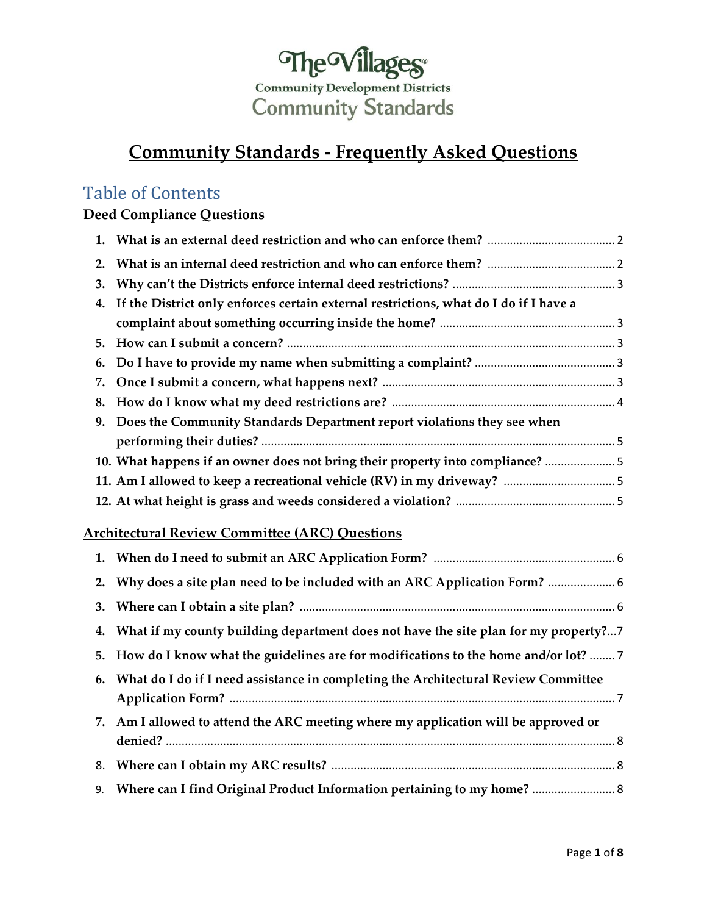

# **Community Standards - Frequently Asked Questions**

## Table of Contents

## **Deed Compliance Questions**

| 1. |                                                                                          |  |
|----|------------------------------------------------------------------------------------------|--|
| 2. |                                                                                          |  |
| 3. |                                                                                          |  |
|    | 4. If the District only enforces certain external restrictions, what do I do if I have a |  |
|    |                                                                                          |  |
| 5. |                                                                                          |  |
| 6. |                                                                                          |  |
| 7. |                                                                                          |  |
| 8. |                                                                                          |  |
| 9. | Does the Community Standards Department report violations they see when                  |  |
|    |                                                                                          |  |
|    | 10. What happens if an owner does not bring their property into compliance?              |  |
|    |                                                                                          |  |
|    |                                                                                          |  |
|    | <b>Architectural Review Committee (ARC) Questions</b>                                    |  |

| 2. Why does a site plan need to be included with an ARC Application Form?  6           |
|----------------------------------------------------------------------------------------|
|                                                                                        |
| 4. What if my county building department does not have the site plan for my property?7 |
| 5. How do I know what the guidelines are for modifications to the home and/or lot?  7  |
| 6. What do I do if I need assistance in completing the Architectural Review Committee  |
| 7. Am I allowed to attend the ARC meeting where my application will be approved or     |
|                                                                                        |
| 9. Where can I find Original Product Information pertaining to my home?  8             |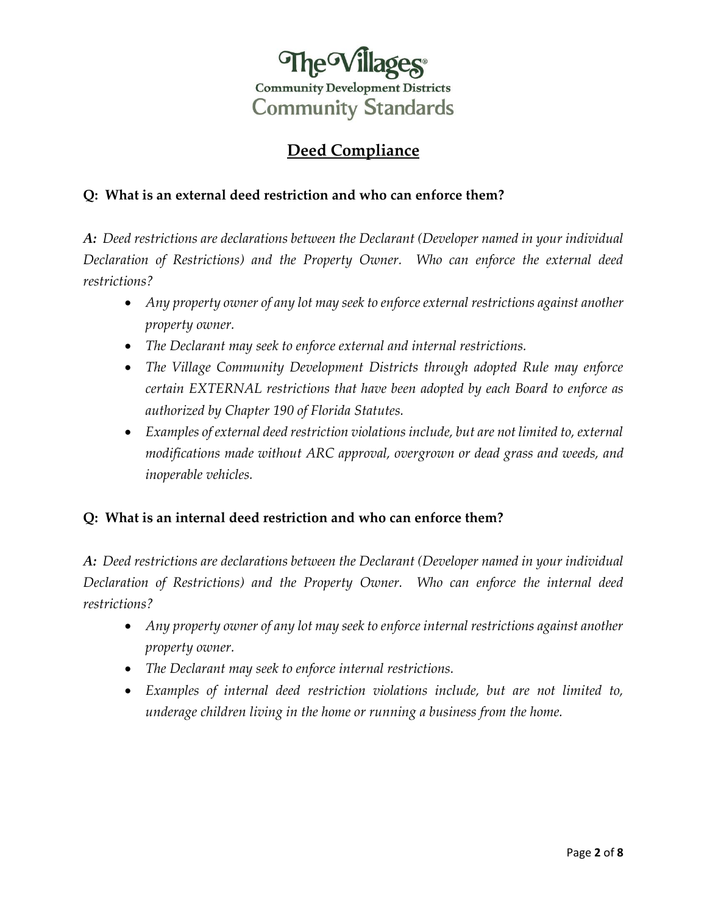

## **Deed Compliance**

## <span id="page-1-0"></span>**Q: What is an external deed restriction and who can enforce them?**

*A: Deed restrictions are declarations between the Declarant (Developer named in your individual Declaration of Restrictions) and the Property Owner. Who can enforce the external deed restrictions?*

- *Any property owner of any lot may seek to enforce external restrictions against another property owner.*
- *The Declarant may seek to enforce external and internal restrictions.*
- *The Village Community Development Districts through adopted Rule may enforce certain EXTERNAL restrictions that have been adopted by each Board to enforce as authorized by Chapter 190 of Florida Statutes.*
- *Examples of external deed restriction violations include, but are not limited to, external modifications made without ARC approval, overgrown or dead grass and weeds, and inoperable vehicles.*

## **Q: What is an internal deed restriction and who can enforce them?**

*A: Deed restrictions are declarations between the Declarant (Developer named in your individual Declaration of Restrictions) and the Property Owner. Who can enforce the internal deed restrictions?*

- *Any property owner of any lot may seek to enforce internal restrictions against another property owner.*
- *The Declarant may seek to enforce internal restrictions.*
- *Examples of internal deed restriction violations include, but are not limited to, underage children living in the home or running a business from the home.*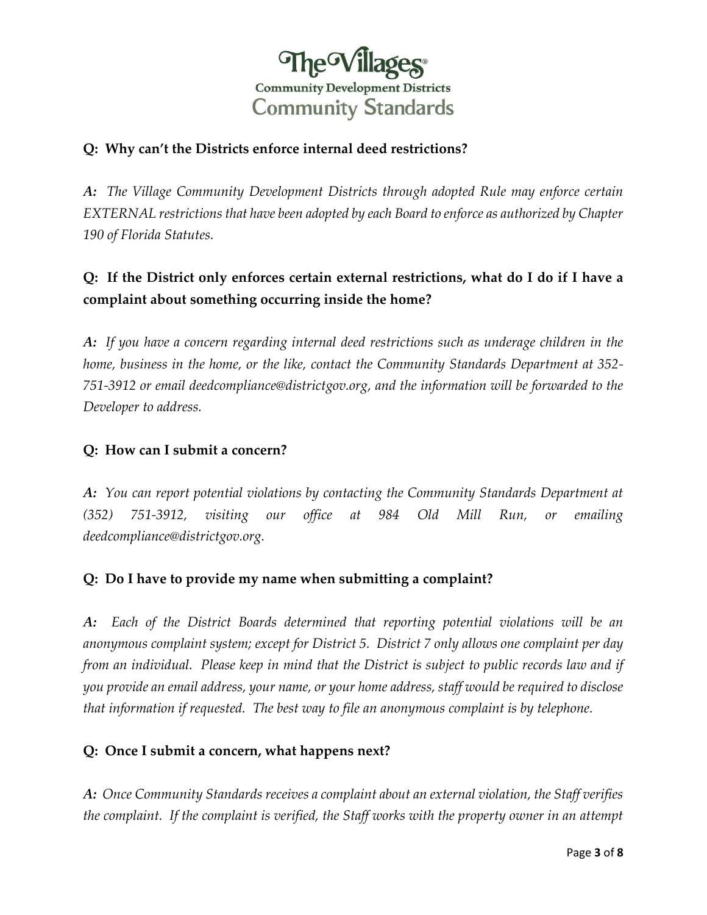

## <span id="page-2-0"></span>**Q: Why can't the Districts enforce internal deed restrictions?**

*A: The Village Community Development Districts through adopted Rule may enforce certain EXTERNAL restrictions that have been adopted by each Board to enforce as authorized by Chapter 190 of Florida Statutes.* 

## **Q: If the District only enforces certain external restrictions, what do I do if I have a complaint about something occurring inside the home?**

*A: If you have a concern regarding internal deed restrictions such as underage children in the home, business in the home, or the like, contact the Community Standards Department at 352- 751-3912 or email [deedcompliance@districtgov.org,](mailto:deedcompliance@districtgov.org) and the information will be forwarded to the Developer to address.*

#### **Q: How can I submit a concern?**

*A: You can report potential violations by contacting the Community Standards Department at (352) 751-3912, visiting our office at 984 Old Mill Run, or emailing deedcompliance@districtgov.org.*

#### **Q: Do I have to provide my name when submitting a complaint?**

*A: Each of the District Boards determined that reporting potential violations will be an anonymous complaint system; except for District 5. District 7 only allows one complaint per day from an individual. Please keep in mind that the District is subject to public records law and if you provide an email address, your name, or your home address, staff would be required to disclose that information if requested. The best way to file an anonymous complaint is by telephone.*

#### **Q: Once I submit a concern, what happens next?**

*A: Once Community Standards receives a complaint about an external violation, the Staff verifies the complaint. If the complaint is verified, the Staff works with the property owner in an attempt*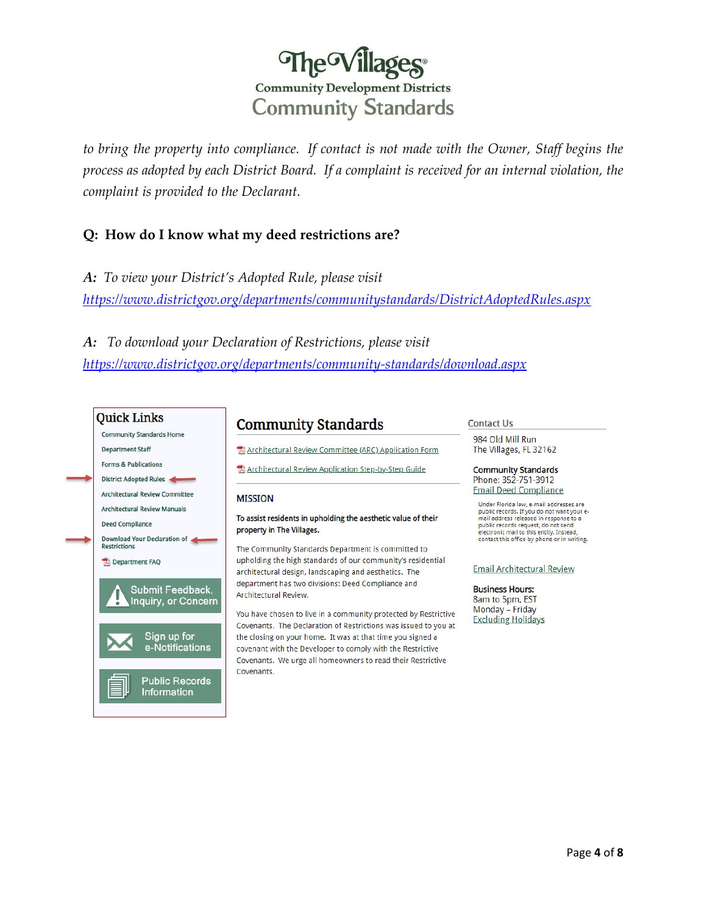# The Villages® **Community Development Districts Community Standards**

<span id="page-3-0"></span>*to bring the property into compliance. If contact is not made with the Owner, Staff begins the process as adopted by each District Board. If a complaint is received for an internal violation, the complaint is provided to the Declarant.*

#### **Q: How do I know what my deed restrictions are?**

*A: To view your District's Adopted Rule, please visit <https://www.districtgov.org/departments/communitystandards/DistrictAdoptedRules.aspx>*

*A: To download your Declaration of Restrictions, please visit <https://www.districtgov.org/departments/community-standards/download.aspx>*



## **Community Standards**

Architectural Review Committee (ARC) Application Form

Architectural Review Application Step-by-Step Guide

#### **MISSION**

To assist residents in upholding the aesthetic value of their property in The Villages.

The Community Standards Department is committed to upholding the high standards of our community's residential architectural design, landscaping and aesthetics. The department has two divisions: Deed Compliance and Architectural Review.

You have chosen to live in a community protected by Restrictive Covenants. The Declaration of Restrictions was issued to you at the closing on your home. It was at that time you signed a covenant with the Developer to comply with the Restrictive Covenants. We urge all homeowners to read their Restrictive Covenants.

#### **Contact Us**

984 Old Mill Run The Villages, FL 32162

**Community Standards** Phone: 352-751-3912 **Email Deed Compliance** 

Under Florida law, e-mail addresses are public records. If you do not want your e-<br>mail address released in response to a public records request, do not send electronic mail to this entity. Instead,<br>contact this office by phone or in writing.

**Email Architectural Review** 

**Business Hours:** 8am to 5pm, EST

Monday - Friday **Excluding Holidays**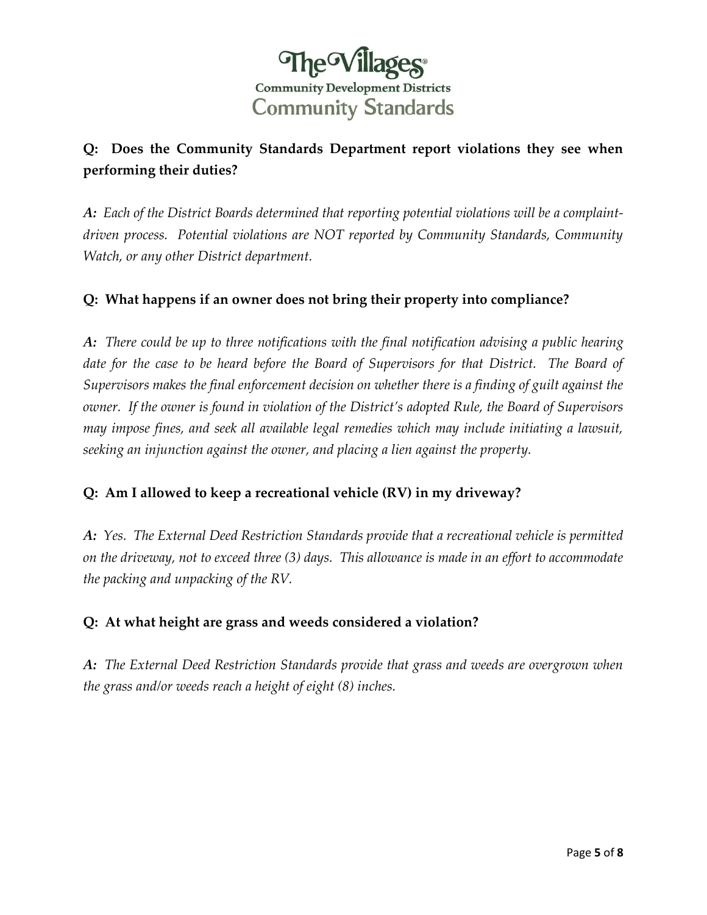

## <span id="page-4-0"></span>**Q: Does the Community Standards Department report violations they see when performing their duties?**

*A: Each of the District Boards determined that reporting potential violations will be a complaintdriven process. Potential violations are NOT reported by Community Standards, Community Watch, or any other District department.* 

## **Q: What happens if an owner does not bring their property into compliance?**

*A: There could be up to three notifications with the final notification advising a public hearing date for the case to be heard before the Board of Supervisors for that District. The Board of Supervisors makes the final enforcement decision on whether there is a finding of guilt against the owner. If the owner is found in violation of the District's adopted Rule, the Board of Supervisors may impose fines, and seek all available legal remedies which may include initiating a lawsuit, seeking an injunction against the owner, and placing a lien against the property.* 

## **Q: Am I allowed to keep a recreational vehicle (RV) in my driveway?**

*A: Yes. The External Deed Restriction Standards provide that a recreational vehicle is permitted on the driveway, not to exceed three (3) days. This allowance is made in an effort to accommodate the packing and unpacking of the RV.* 

#### **Q: At what height are grass and weeds considered a violation?**

*A: The External Deed Restriction Standards provide that grass and weeds are overgrown when the grass and/or weeds reach a height of eight (8) inches.*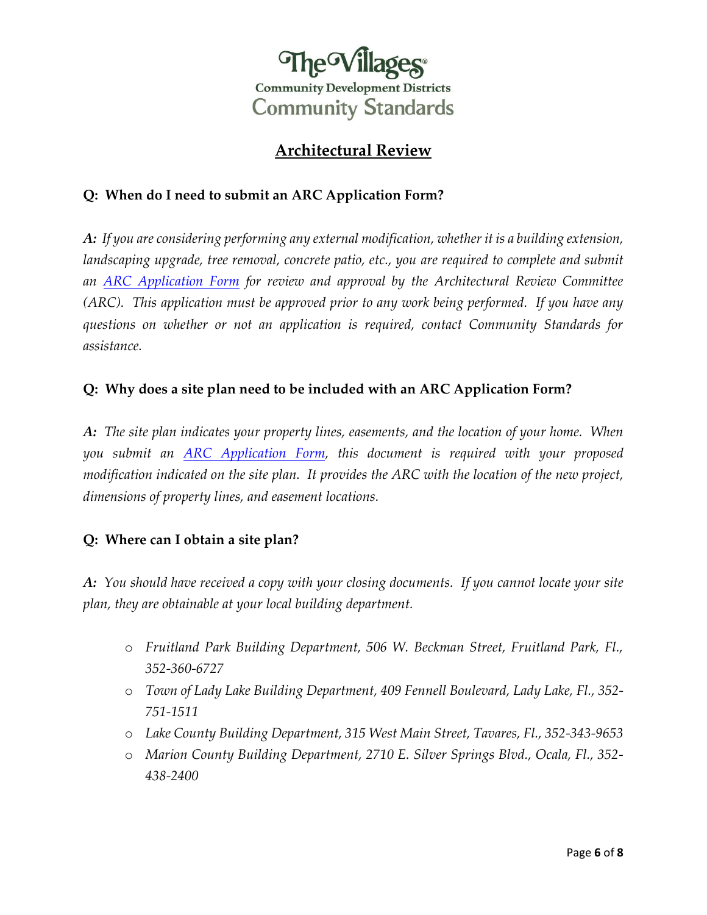

## **Architectural Review**

## <span id="page-5-0"></span>**Q: When do I need to submit an ARC Application Form?**

*A: If you are considering performing any external modification, whether it is a building extension,*  landscaping upgrade, tree removal, concrete patio, etc., you are required to complete and submit *an ARC [Application](https://www.districtgov.org/departments/Community-Standards/images/ARC-Application.pdf) Form for review and approval by the Architectural Review Committee (ARC). This application must be approved prior to any work being performed. If you have any questions on whether or not an application is required, contact Community Standards for assistance.* 

## **Q: Why does a site plan need to be included with an ARC Application Form?**

*A: The site plan indicates your property lines, easements, and the location of your home. When you submit an [ARC Application Form,](https://www.districtgov.org/departments/Community-Standards/images/ARC-Application.pdf) this document is required with your proposed modification indicated on the site plan. It provides the ARC with the location of the new project, dimensions of property lines, and easement locations.* 

## **Q: Where can I obtain a site plan?**

*A: You should have received a copy with your closing documents. If you cannot locate your site plan, they are obtainable at your local building department.* 

- o *Fruitland Park Building Department, 506 W. Beckman Street, Fruitland Park, Fl., 352-360-6727*
- o *Town of Lady Lake Building Department, 409 Fennell Boulevard, Lady Lake, Fl., 352- 751-1511*
- o *Lake County Building Department, 315 West Main Street, Tavares, Fl., 352-343-9653*
- o *Marion County Building Department, 2710 E. Silver Springs Blvd., Ocala, Fl., 352- 438-2400*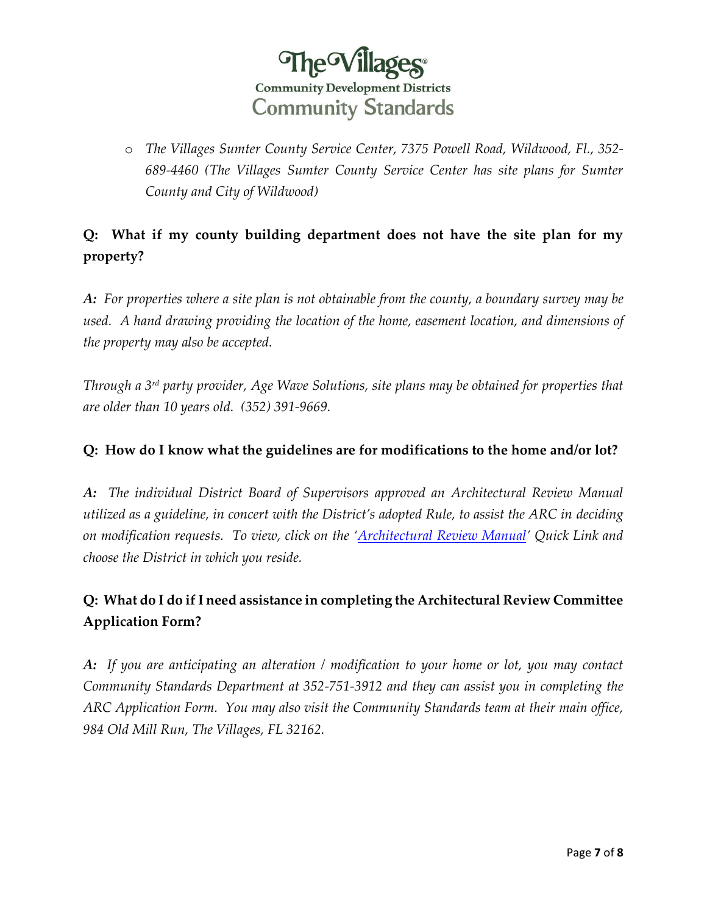

<span id="page-6-0"></span>o *The Villages Sumter County Service Center, 7375 Powell Road, Wildwood, Fl., 352- 689-4460 (The Villages Sumter County Service Center has site plans for Sumter County and City of Wildwood)*

## **Q: What if my county building department does not have the site plan for my property?**

*A: For properties where a site plan is not obtainable from the county, a boundary survey may be used. A hand drawing providing the location of the home, easement location, and dimensions of the property may also be accepted.* 

*Through a 3rd party provider, Age Wave Solutions, site plans may be obtained for properties that are older than 10 years old. (352) 391-9669.* 

## **Q: How do I know what the guidelines are for modifications to the home and/or lot?**

*A: The individual District Board of Supervisors approved an Architectural Review Manual utilized as a guideline, in concert with the District's adopted Rule, to assist the ARC in deciding on modification requests. To view, click on the '[Architectural Review Manual](https://www.districtgov.org/departments/community-standards/ArchReviewManuals.aspx)' Quick Link and choose the District in which you reside.* 

## **Q: What do I do if I need assistance in completing the Architectural Review Committee Application Form?**

*A: If you are anticipating an alteration / modification to your home or lot, you may contact Community Standards Department at 352-751-3912 and they can assist you in completing the ARC Application Form. You may also visit the Community Standards team at their main office, 984 Old Mill Run, The Villages, FL 32162.*